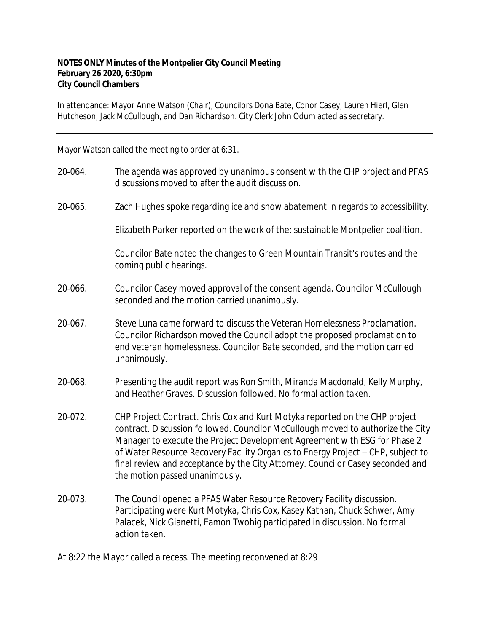## **NOTES ONLY Minutes of the Montpelier City Council Meeting February 26 2020, 6:30pm City Council Chambers**

In attendance: Mayor Anne Watson (Chair), Councilors Dona Bate, Conor Casey, Lauren Hierl, Glen Hutcheson, Jack McCullough, and Dan Richardson. City Clerk John Odum acted as secretary.

Mayor Watson called the meeting to order at 6:31.

- 20‐064. The agenda was approved by unanimous consent with the CHP project and PFAS discussions moved to after the audit discussion.
- 20‐065. Zach Hughes spoke regarding ice and snow abatement in regards to accessibility.

Elizabeth Parker reported on the work of the: sustainable Montpelier coalition.

Councilor Bate noted the changes to Green Mountain Transit's routes and the coming public hearings.

- 20‐066. Councilor Casey moved approval of the consent agenda. Councilor McCullough seconded and the motion carried unanimously.
- 20‐067. Steve Luna came forward to discuss the Veteran Homelessness Proclamation. Councilor Richardson moved the Council adopt the proposed proclamation to end veteran homelessness. Councilor Bate seconded, and the motion carried unanimously.
- 20‐068. Presenting the audit report was Ron Smith, Miranda Macdonald, Kelly Murphy, and Heather Graves. Discussion followed. No formal action taken.
- 20‐072. CHP Project Contract. Chris Cox and Kurt Motyka reported on the CHP project contract. Discussion followed. Councilor McCullough moved to authorize the City Manager to execute the Project Development Agreement with ESG for Phase 2 of Water Resource Recovery Facility Organics to Energy Project – CHP, subject to final review and acceptance by the City Attorney. Councilor Casey seconded and the motion passed unanimously.
- 20‐073. The Council opened a PFAS Water Resource Recovery Facility discussion. Participating were Kurt Motyka, Chris Cox, Kasey Kathan, Chuck Schwer, Amy Palacek, Nick Gianetti, Eamon Twohig participated in discussion. No formal action taken.
- At 8:22 the Mayor called a recess. The meeting reconvened at 8:29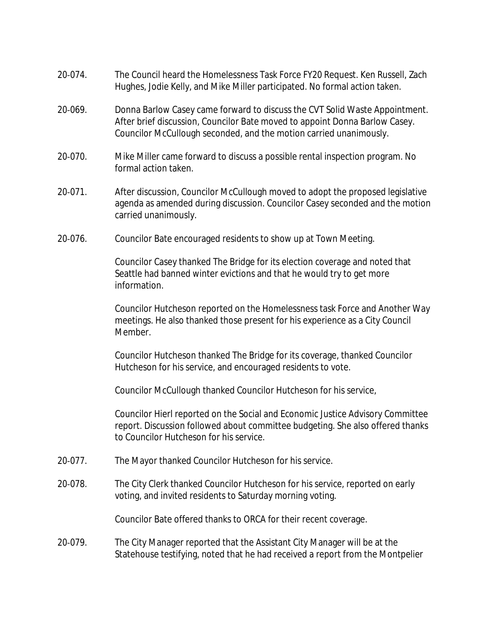- 20‐074. The Council heard the Homelessness Task Force FY20 Request. Ken Russell, Zach Hughes, Jodie Kelly, and Mike Miller participated. No formal action taken.
- 20‐069. Donna Barlow Casey came forward to discuss the CVT Solid Waste Appointment. After brief discussion, Councilor Bate moved to appoint Donna Barlow Casey. Councilor McCullough seconded, and the motion carried unanimously.
- 20‐070. Mike Miller came forward to discuss a possible rental inspection program. No formal action taken.
- 20‐071. After discussion, Councilor McCullough moved to adopt the proposed legislative agenda as amended during discussion. Councilor Casey seconded and the motion carried unanimously.
- 20‐076. Councilor Bate encouraged residents to show up at Town Meeting.

Councilor Casey thanked The Bridge for its election coverage and noted that Seattle had banned winter evictions and that he would try to get more information.

Councilor Hutcheson reported on the Homelessness task Force and Another Way meetings. He also thanked those present for his experience as a City Council Member.

Councilor Hutcheson thanked The Bridge for its coverage, thanked Councilor Hutcheson for his service, and encouraged residents to vote.

Councilor McCullough thanked Councilor Hutcheson for his service,

Councilor Hierl reported on the Social and Economic Justice Advisory Committee report. Discussion followed about committee budgeting. She also offered thanks to Councilor Hutcheson for his service.

- 20‐077. The Mayor thanked Councilor Hutcheson for his service.
- 20‐078. The City Clerk thanked Councilor Hutcheson for his service, reported on early voting, and invited residents to Saturday morning voting.

Councilor Bate offered thanks to ORCA for their recent coverage.

20‐079. The City Manager reported that the Assistant City Manager will be at the Statehouse testifying, noted that he had received a report from the Montpelier